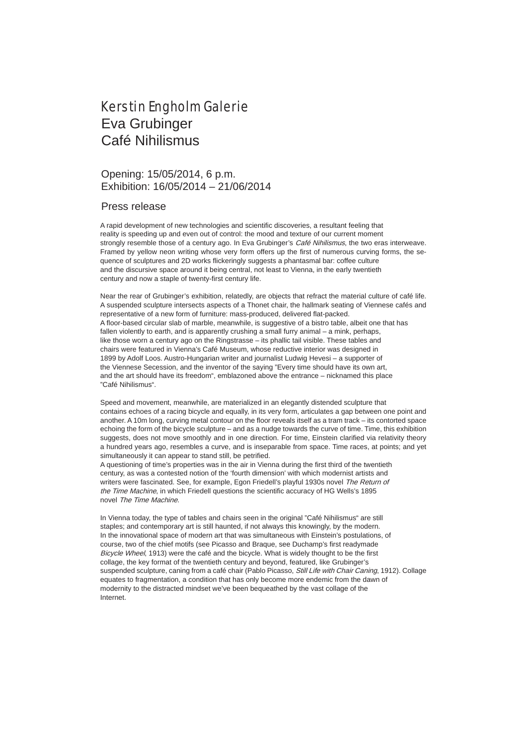## Kerstin Engholm Galerie Eva Grubinger Café Nihilismus

## Opening: 15/05/2014, 6 p.m. Exhibition: 16/05/2014 – 21/06/2014

## Press release

A rapid development of new technologies and scientific discoveries, a resultant feeling that reality is speeding up and even out of control: the mood and texture of our current moment strongly resemble those of a century ago. In Eva Grubinger's Café Nihilismus, the two eras interweave. Framed by yellow neon writing whose very form offers up the first of numerous curving forms, the sequence of sculptures and 2D works flickeringly suggests a phantasmal bar: coffee culture and the discursive space around it being central, not least to Vienna, in the early twentieth century and now a staple of twenty-first century life.

Near the rear of Grubinger's exhibition, relatedly, are objects that refract the material culture of café life. A suspended sculpture intersects aspects of a Thonet chair, the hallmark seating of Viennese cafés and representative of a new form of furniture: mass-produced, delivered flat-packed. A floor-based circular slab of marble, meanwhile, is suggestive of a bistro table, albeit one that has fallen violently to earth, and is apparently crushing a small furry animal – a mink, perhaps, like those worn a century ago on the Ringstrasse – its phallic tail visible. These tables and chairs were featured in Vienna's Café Museum, whose reductive interior was designed in 1899 by Adolf Loos. Austro-Hungarian writer and journalist Ludwig Hevesi – a supporter of the Viennese Secession, and the inventor of the saying "Every time should have its own art, and the art should have its freedom", emblazoned above the entrance – nicknamed this place "Café Nihilismus".

Speed and movement, meanwhile, are materialized in an elegantly distended sculpture that contains echoes of a racing bicycle and equally, in its very form, articulates a gap between one point and another. A 10m long, curving metal contour on the floor reveals itself as a tram track – its contorted space echoing the form of the bicycle sculpture – and as a nudge towards the curve of time. Time, this exhibition suggests, does not move smoothly and in one direction. For time, Einstein clarified via relativity theory a hundred years ago, resembles a curve, and is inseparable from space. Time races, at points; and yet simultaneously it can appear to stand still, be petrified.

A questioning of time's properties was in the air in Vienna during the first third of the twentieth century, as was a contested notion of the 'fourth dimension' with which modernist artists and writers were fascinated. See, for example, Egon Friedell's playful 1930s novel The Return of the Time Machine, in which Friedell questions the scientific accuracy of HG Wells's 1895 novel The Time Machine.

In Vienna today, the type of tables and chairs seen in the original "Café Nihilismus" are still staples; and contemporary art is still haunted, if not always this knowingly, by the modern. In the innovational space of modern art that was simultaneous with Einstein's postulations, of course, two of the chief motifs (see Picasso and Braque, see Duchamp's first readymade Bicycle Wheel, 1913) were the café and the bicycle. What is widely thought to be the first collage, the key format of the twentieth century and beyond, featured, like Grubinger's suspended sculpture, caning from a café chair (Pablo Picasso, Still Life with Chair Caning, 1912). Collage equates to fragmentation, a condition that has only become more endemic from the dawn of modernity to the distracted mindset we've been bequeathed by the vast collage of the Internet.